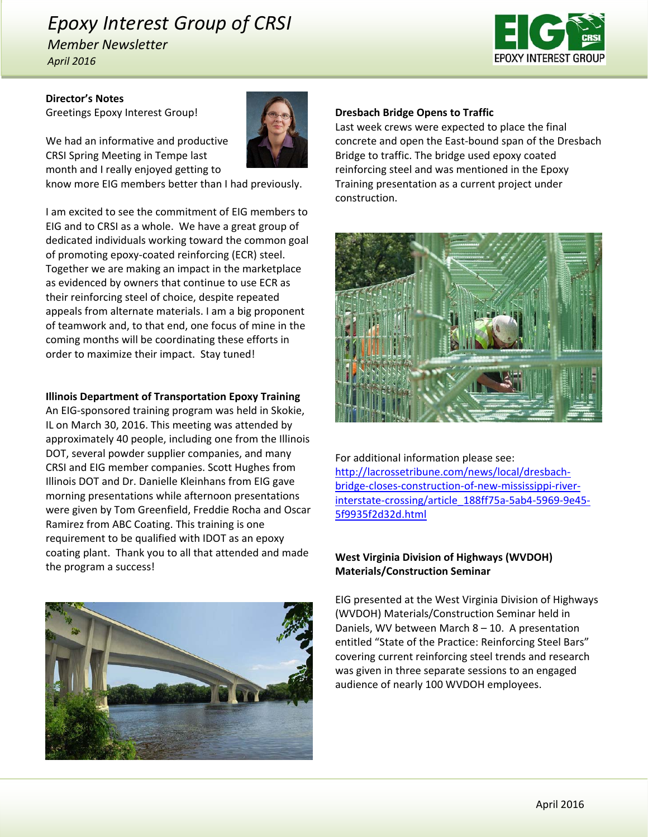# *Epoxy Interest Group of CRSI*

*Member Newsletter April 2016*



### **Director's Notes** Greetings Epoxy Interest Group!

We had an informative and productive CRSI Spring Meeting in Tempe last month and I really enjoyed getting to

know more EIG members better than I had previously.

I am excited to see the commitment of EIG members to EIG and to CRSI as a whole. We have a great group of dedicated individuals working toward the common goal of promoting epoxy‐coated reinforcing (ECR) steel. Together we are making an impact in the marketplace as evidenced by owners that continue to use ECR as their reinforcing steel of choice, despite repeated appeals from alternate materials. I am a big proponent of teamwork and, to that end, one focus of mine in the coming months will be coordinating these efforts in order to maximize their impact. Stay tuned!

### **Illinois Department of Transportation Epoxy Training**

An EIG‐sponsored training program was held in Skokie, IL on March 30, 2016. This meeting was attended by approximately 40 people, including one from the Illinois DOT, several powder supplier companies, and many CRSI and EIG member companies. Scott Hughes from Illinois DOT and Dr. Danielle Kleinhans from EIG gave morning presentations while afternoon presentations were given by Tom Greenfield, Freddie Rocha and Oscar Ramirez from ABC Coating. This training is one requirement to be qualified with IDOT as an epoxy coating plant. Thank you to all that attended and made the program a success!



### **Dresbach Bridge Opens to Traffic**

Last week crews were expected to place the final concrete and open the East‐bound span of the Dresbach Bridge to traffic. The bridge used epoxy coated reinforcing steel and was mentioned in the Epoxy Training presentation as a current project under construction.



For additional information please see: http://lacrossetribune.com/news/local/dresbach‐ bridge‐closes‐construction‐of‐new‐mississippi‐river‐ interstate-crossing/article\_188ff75a-5ab4-5969-9e45-5f9935f2d32d.html

## **West Virginia Division of Highways (WVDOH) Materials/Construction Seminar**

EIG presented at the West Virginia Division of Highways (WVDOH) Materials/Construction Seminar held in Daniels, WV between March 8 – 10. A presentation entitled "State of the Practice: Reinforcing Steel Bars" covering current reinforcing steel trends and research was given in three separate sessions to an engaged audience of nearly 100 WVDOH employees.